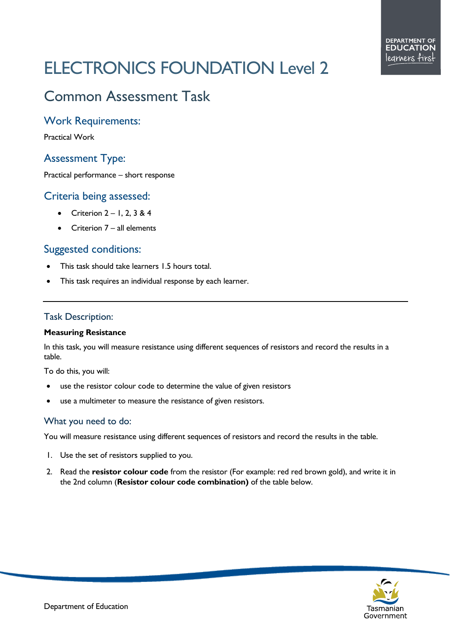# ELECTRONICS FOUNDATION Level 2

## Common Assessment Task

#### Work Requirements:

Practical Work

### Assessment Type:

Practical performance – short response

#### Criteria being assessed:

- Criterion  $2 1$ , 2, 3 & 4
- Criterion 7 all elements

#### Suggested conditions:

- This task should take learners 1.5 hours total.
- This task requires an individual response by each learner.

#### Task Description:

#### **Measuring Resistance**

In this task, you will measure resistance using different sequences of resistors and record the results in a table.

To do this, you will:

- use the resistor colour code to determine the value of given resistors
- use a multimeter to measure the resistance of given resistors.

#### What you need to do:

You will measure resistance using different sequences of resistors and record the results in the table.

- 1. Use the set of resistors supplied to you.
- 2. Read the **resistor colour code** from the resistor (For example: red red brown gold), and write it in the 2nd column (**Resistor colour code combination)** of the table below.